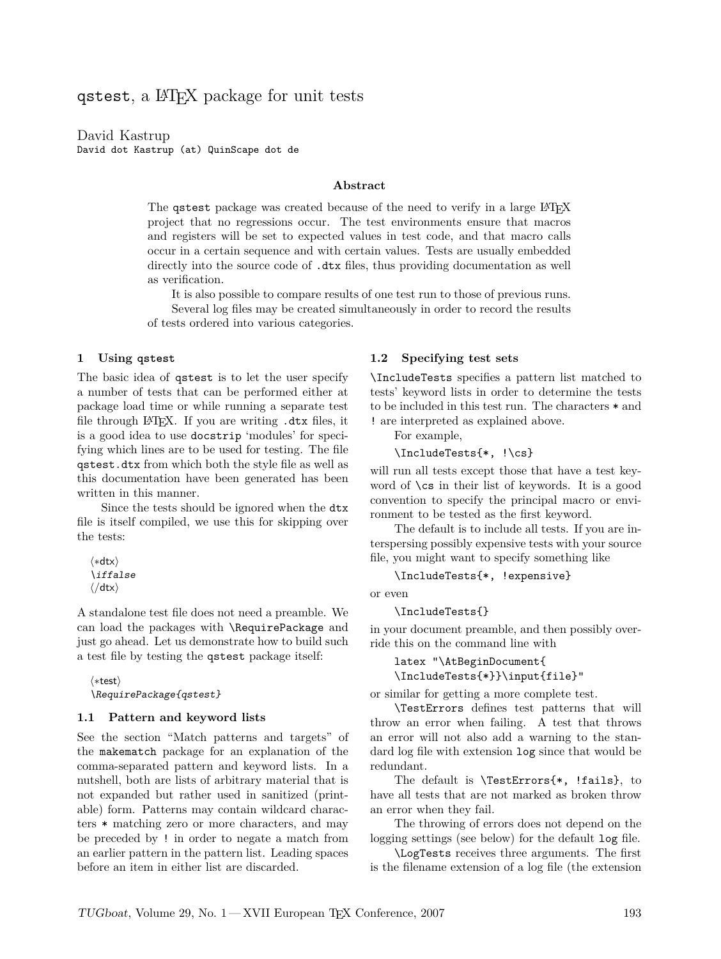qstest, a LATEX package for unit tests

David Kastrup David dot Kastrup (at) QuinScape dot de

## **Abstract**

The qstest package was created because of the need to verify in a large LATEX project that no regressions occur. The test environments ensure that macros and registers will be set to expected values in test code, and that macro calls occur in a certain sequence and with certain values. Tests are usually embedded directly into the source code of  $.$ dtx files, thus providing documentation as well as verification.

It is also possible to compare results of one test run to those of previous runs. Several log files may be created simultaneously in order to record the results of tests ordered into various categories.

#### **1 Using** qstest

The basic idea of qstest is to let the user specify a number of tests that can be performed either at package load time or while running a separate test file through LATEX. If you are writing .dtx files, it is a good idea to use docstrip 'modules' for specifying which lines are to be used for testing. The file qstest.dtx from which both the style file as well as this documentation have been generated has been written in this manner.

Since the tests should be ignored when the dtx file is itself compiled, we use this for skipping over the tests:

*h∗*dtx*i* \iffalse *h/*dtx*i*

A standalone test file does not need a preamble. We can load the packages with \RequirePackage and just go ahead. Let us demonstrate how to build such a test file by testing the qstest package itself:

```
h∗testi
\RequirePackage{qstest}
```
#### **1.1 Pattern and keyword lists**

See the section "Match patterns and targets" of the makematch package for an explanation of the comma-separated pattern and keyword lists. In a nutshell, both are lists of arbitrary material that is not expanded but rather used in sanitized (printable) form. Patterns may contain wildcard characters \* matching zero or more characters, and may be preceded by ! in order to negate a match from an earlier pattern in the pattern list. Leading spaces before an item in either list are discarded.

#### **1.2 Specifying test sets**

\IncludeTests specifies a pattern list matched to tests' keyword lists in order to determine the tests to be included in this test run. The characters \* and ! are interpreted as explained above.

For example,

\IncludeTests{\*, !\cs}

will run all tests except those that have a test keyword of \cs in their list of keywords. It is a good convention to specify the principal macro or environment to be tested as the first keyword.

The default is to include all tests. If you are interspersing possibly expensive tests with your source file, you might want to specify something like

\IncludeTests{\*, !expensive}

or even

\IncludeTests{}

in your document preamble, and then possibly override this on the command line with

latex "\AtBeginDocument{ \IncludeTests{\*}}\input{file}"

or similar for getting a more complete test.

\TestErrors defines test patterns that will throw an error when failing. A test that throws an error will not also add a warning to the standard log file with extension log since that would be redundant.

The default is \TestErrors{\*, !fails}, to have all tests that are not marked as broken throw an error when they fail.

The throwing of errors does not depend on the logging settings (see below) for the default log file.

\LogTests receives three arguments. The first is the filename extension of a log file (the extension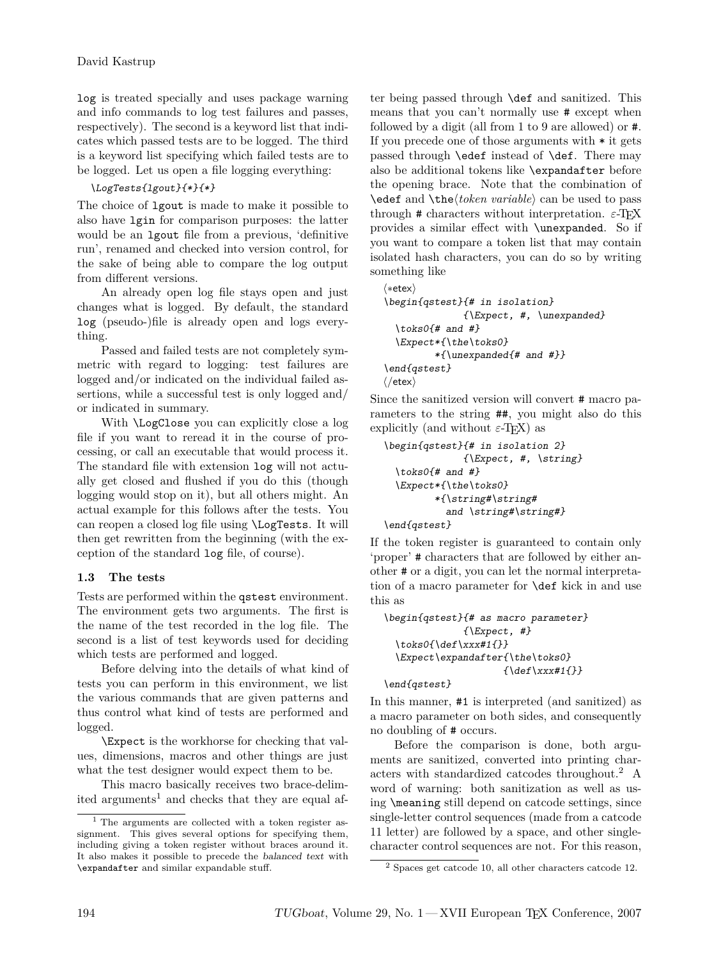log is treated specially and uses package warning and info commands to log test failures and passes, respectively). The second is a keyword list that indicates which passed tests are to be logged. The third is a keyword list specifying which failed tests are to be logged. Let us open a file logging everything:

\LogTests{lgout}{\*}{\*}

The choice of lgout is made to make it possible to also have lgin for comparison purposes: the latter would be an lgout file from a previous, 'definitive run', renamed and checked into version control, for the sake of being able to compare the log output from different versions.

An already open log file stays open and just changes what is logged. By default, the standard log (pseudo-)file is already open and logs everything.

Passed and failed tests are not completely symmetric with regard to logging: test failures are logged and/or indicated on the individual failed assertions, while a successful test is only logged and/ or indicated in summary.

With \LogClose you can explicitly close a log file if you want to reread it in the course of processing, or call an executable that would process it. The standard file with extension log will not actually get closed and flushed if you do this (though logging would stop on it), but all others might. An actual example for this follows after the tests. You can reopen a closed log file using \LogTests. It will then get rewritten from the beginning (with the exception of the standard log file, of course).

# **1.3 The tests**

Tests are performed within the qstest environment. The environment gets two arguments. The first is the name of the test recorded in the log file. The second is a list of test keywords used for deciding which tests are performed and logged.

Before delving into the details of what kind of tests you can perform in this environment, we list the various commands that are given patterns and thus control what kind of tests are performed and logged.

\Expect is the workhorse for checking that values, dimensions, macros and other things are just what the test designer would expect them to be.

This macro basically receives two brace-delim-ited arguments<sup>[1](#page-1-0)</sup> and checks that they are equal after being passed through \def and sanitized. This means that you can't normally use # except when followed by a digit (all from 1 to 9 are allowed) or #. If you precede one of those arguments with \* it gets passed through \edef instead of \def. There may also be additional tokens like \expandafter before the opening brace. Note that the combination of \edef and \the\*token variable*\ can be used to pass through  $\#$  characters without interpretation.  $\varepsilon$ -T<sub>E</sub>X provides a similar effect with \unexpanded. So if you want to compare a token list that may contain isolated hash characters, you can do so by writing something like

```
h∗etexi
\begin{qstest}{# in isolation}
               {\Epsilon, #, \text{unexpanded}}\text{bbs0}{# and #}
  \Expect*{\the\toks0}
          *{\unexpanded{# and #}}
\end{qstest}
h/etexi
```
Since the sanitized version will convert # macro parameters to the string ##, you might also do this explicitly (and without  $\varepsilon$ -T<sub>EX</sub>) as

```
\begin{qstest}{# in isolation 2}
               {\{ \&expect, #, \&string\}}\text{bbs0}{# and #}
  \Expect*{\the\toks0}
         *{\string#\string#
            and \string#\string#}
\end{qstest}
```
If the token register is guaranteed to contain only 'proper' # characters that are followed by either another # or a digit, you can let the normal interpretation of a macro parameter for \def kick in and use this as

```
\begin{qstest}{# as macro parameter}
                \{ \Epsilon \neq t, \# \}\text{0}{\def\xxx#1{}}\Expect\expandafter{\the\toks0}
                        \{\det\xxx#1{\}\}\end{qstest}
```
In this manner, #1 is interpreted (and sanitized) as a macro parameter on both sides, and consequently no doubling of # occurs.

Before the comparison is done, both arguments are sanitized, converted into printing characters with standardized catcodes throughout.[2](#page-1-1) A word of warning: both sanitization as well as using \meaning still depend on catcode settings, since single-letter control sequences (made from a catcode 11 letter) are followed by a space, and other singlecharacter control sequences are not. For this reason,

<span id="page-1-0"></span><sup>1</sup> The arguments are collected with a token register assignment. This gives several options for specifying them, including giving a token register without braces around it. It also makes it possible to precede the balanced text with \expandafter and similar expandable stuff.

<span id="page-1-1"></span><sup>2</sup> Spaces get catcode 10, all other characters catcode 12.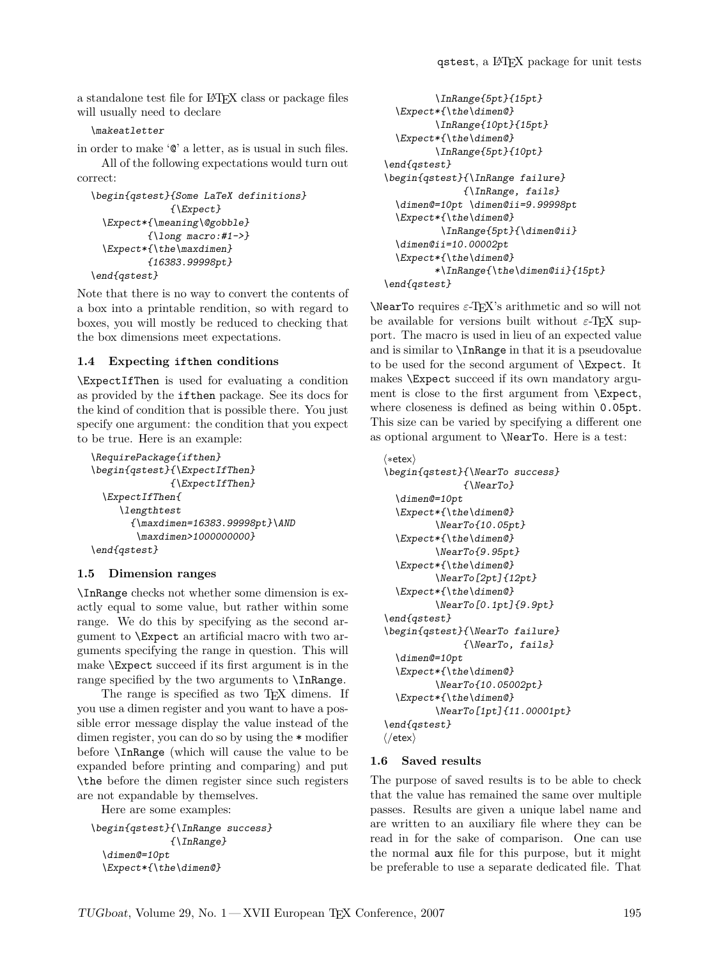a standalone test file for LATEX class or package files will usually need to declare

#### \makeatletter

in order to make '@' a letter, as is usual in such files.

All of the following expectations would turn out correct:

```
\begin{qstest}{Some LaTeX definitions}
               {\Expect}
  \Expect*{\meaning\@gobble}
          \{\lambda 1ong macro:#1->}
  \Expect*{\the\maxdimen}
          {16383.99998pt}
\end{qstest}
```
Note that there is no way to convert the contents of a box into a printable rendition, so with regard to boxes, you will mostly be reduced to checking that the box dimensions meet expectations.

### **1.4 Expecting** ifthen **conditions**

\ExpectIfThen is used for evaluating a condition as provided by the ifthen package. See its docs for the kind of condition that is possible there. You just specify one argument: the condition that you expect to be true. Here is an example:

```
\RequirePackage{ifthen}
\begin{qstest}{\ExpectIfThen}
              {\ExpectIfThen}
 \ExpectIfThen{
     \lengthtest
       {\maxdimen=16383.99998pt}\AND
        \maxdimen>1000000000}
\end{qstest}
```
### **1.5 Dimension ranges**

\InRange checks not whether some dimension is exactly equal to some value, but rather within some range. We do this by specifying as the second argument to \Expect an artificial macro with two arguments specifying the range in question. This will make \Expect succeed if its first argument is in the range specified by the two arguments to \InRange.

The range is specified as two T<sub>EX</sub> dimens. If you use a dimen register and you want to have a possible error message display the value instead of the dimen register, you can do so by using the \* modifier before \InRange (which will cause the value to be expanded before printing and comparing) and put \the before the dimen register since such registers are not expandable by themselves.

Here are some examples:

```
\begin{qstest}{\InRange success}
              {\InRange}
 \dimen@=10pt
 \Expect*{\the\dimen@}
```

```
\InRange{5pt}{15pt}
 \Expect*{\the\dimen@}
         \InRange{10pt}{15pt}
 \Expect*{\the\dimen@}
         \InRange{5pt}{10pt}
\end{qstest}
\begin{qstest}{\InRange failure}
              {\InRange, fails}
 \dimen@=10pt \dimen@ii=9.99998pt
 \Expect*{\the\dimen@}
          \InRange{5pt}{\dimen@ii}
 \dimen@ii=10.00002pt
 \Expect*{\the\dimen@}
         *\InRange{\the\dimen@ii}{15pt}
\end{qstest}
```
\NearTo requires *ε*-TEX's arithmetic and so will not be available for versions built without  $\varepsilon$ -T<sub>EX</sub> support. The macro is used in lieu of an expected value and is similar to \InRange in that it is a pseudovalue to be used for the second argument of \Expect. It makes \Expect succeed if its own mandatory argument is close to the first argument from \Expect, where closeness is defined as being within 0.05pt. This size can be varied by specifying a different one as optional argument to \NearTo. Here is a test:

```
h∗etexi
```

```
\begin{qstest}{\NearTo success}
              {\NearTo}
  \dimen@=10pt
  \Expect*{\the\dimen@}
         \NearTo{10.05pt}
  \Expect*{\the\dimen@}
         \NearTo{9.95pt}
  \Expect*{\the\dimen@}
         \NearTo[2pt]{12pt}
  \Expect*{\the\dimen@}
         \NearTo[0.1pt]{9.9pt}
\end{qstest}
\begin{qstest}{\NearTo failure}
              {\NearTo, fails}
  \dimen@=10pt
  \Expect*{\the\dimen@}
         \NearTo{10.05002pt}
  \Expect*{\the\dimen@}
         \NearTo[1pt]{11.00001pt}
\end{qstest}
h/etexi
```
### **1.6 Saved results**

The purpose of saved results is to be able to check that the value has remained the same over multiple passes. Results are given a unique label name and are written to an auxiliary file where they can be read in for the sake of comparison. One can use the normal aux file for this purpose, but it might be preferable to use a separate dedicated file. That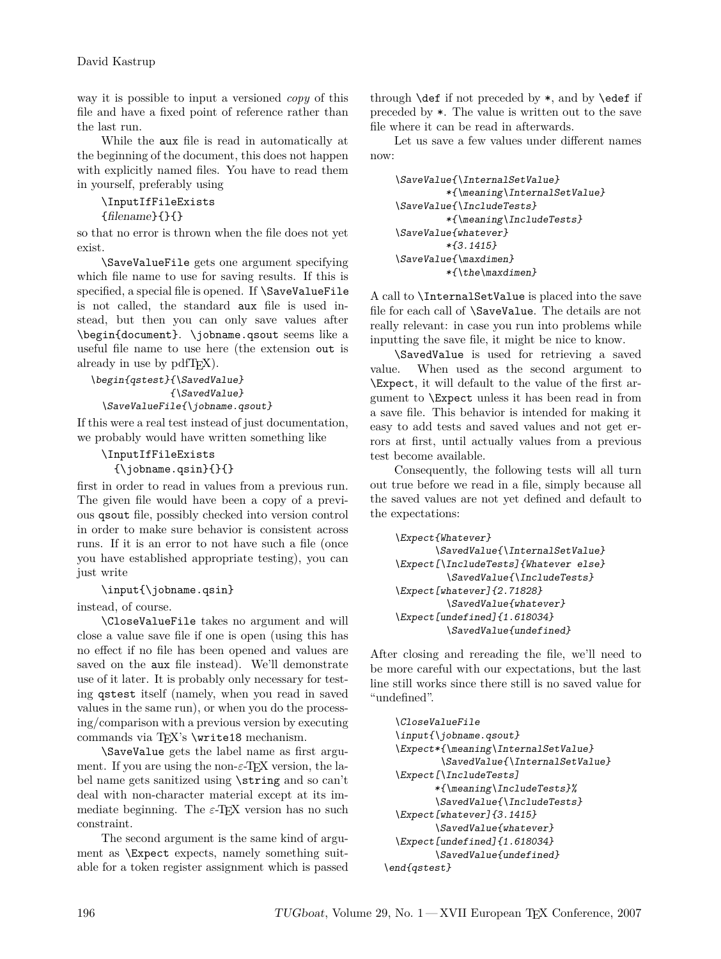way it is possible to input a versioned *copy* of this file and have a fixed point of reference rather than the last run.

While the aux file is read in automatically at the beginning of the document, this does not happen with explicitly named files. You have to read them in yourself, preferably using

\InputIfFileExists

{filename}{}{}

so that no error is thrown when the file does not yet exist.

\SaveValueFile gets one argument specifying which file name to use for saving results. If this is specified, a special file is opened. If **\SaveValueFile** is not called, the standard aux file is used instead, but then you can only save values after \begin{document}. \jobname.qsout seems like a useful file name to use here (the extension out is already in use by pdfT<sub>F</sub>X).

#### \begin{qstest}{\SavedValue} {\SavedValue} \SaveValueFile{\jobname.qsout}

If this were a real test instead of just documentation, we probably would have written something like

### \InputIfFileExists {\jobname.qsin}{}{}

first in order to read in values from a previous run. The given file would have been a copy of a previous qsout file, possibly checked into version control in order to make sure behavior is consistent across runs. If it is an error to not have such a file (once you have established appropriate testing), you can just write

# \input{\jobname.qsin}

instead, of course.

\CloseValueFile takes no argument and will close a value save file if one is open (using this has no effect if no file has been opened and values are saved on the aux file instead). We'll demonstrate use of it later. It is probably only necessary for testing qstest itself (namely, when you read in saved values in the same run), or when you do the processing/comparison with a previous version by executing commands via TEX's \write18 mechanism.

\SaveValue gets the label name as first argument. If you are using the non-ε-T<sub>E</sub>X version, the label name gets sanitized using \string and so can't deal with non-character material except at its immediate beginning. The *ε*-TEX version has no such constraint.

The second argument is the same kind of argument as \Expect expects, namely something suitable for a token register assignment which is passed through  $\def$  if not preceded by  $*$ , and by  $\def$  if preceded by \*. The value is written out to the save file where it can be read in afterwards.

Let us save a few values under different names now:

```
\SaveValue{\InternalSetValue}
         *{\meaning\InternalSetValue}
\SaveValue{\IncludeTests}
         *{\meaning\IncludeTests}
\SaveValue{whatever}
         *{3.1415}
\SaveValue{\maxdimen}
         *{\the\maxdimen}
```
A call to \InternalSetValue is placed into the save file for each call of \SaveValue. The details are not really relevant: in case you run into problems while inputting the save file, it might be nice to know.

\SavedValue is used for retrieving a saved value. When used as the second argument to \Expect, it will default to the value of the first argument to \Expect unless it has been read in from a save file. This behavior is intended for making it easy to add tests and saved values and not get errors at first, until actually values from a previous test become available.

Consequently, the following tests will all turn out true before we read in a file, simply because all the saved values are not yet defined and default to the expectations:

```
\Expect{Whatever}
       \SavedValue{\InternalSetValue}
\Expect[\IncludeTests]{Whatever else}
         \SavedValue{\IncludeTests}
\Expect[whatever]{2.71828}
         \SavedValue{whatever}
\Expect[undefined]{1.618034}
         \SavedValue{undefined}
```
After closing and rereading the file, we'll need to be more careful with our expectations, but the last line still works since there still is no saved value for "undefined".

```
\CloseValueFile
 \input{\jobname.gsout}
 \Expect*{\meaning\InternalSetValue}
          \SavedValue{\InternalSetValue}
 \Expect[\IncludeTests]
         *{\meaning\IncludeTests}%
         \SavedValue{\IncludeTests}
 \Expect[whatever]{3.1415}
         \SavedValue{whatever}
 \Expect[undefined]{1.618034}
         \SavedValue{undefined}
\end{qstest}
```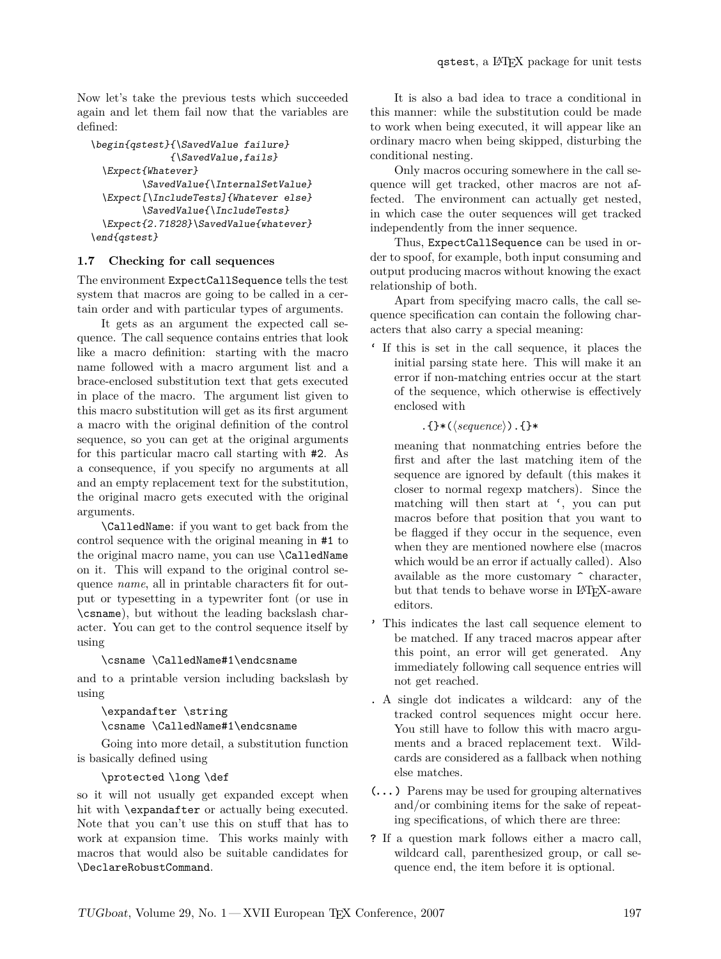Now let's take the previous tests which succeeded again and let them fail now that the variables are defined:

```
\begin{qstest}{\SavedValue failure}
              {\SavedValue,fails}
 \Expect{Whatever}
         \SavedValue{\InternalSetValue}
 \Expect[\IncludeTests]{Whatever else}
         \SavedValue{\IncludeTests}
  \Expect{2.71828}\SavedValue{whatever}
\end{qstest}
```
## **1.7 Checking for call sequences**

The environment ExpectCallSequence tells the test system that macros are going to be called in a certain order and with particular types of arguments.

It gets as an argument the expected call sequence. The call sequence contains entries that look like a macro definition: starting with the macro name followed with a macro argument list and a brace-enclosed substitution text that gets executed in place of the macro. The argument list given to this macro substitution will get as its first argument a macro with the original definition of the control sequence, so you can get at the original arguments for this particular macro call starting with #2. As a consequence, if you specify no arguments at all and an empty replacement text for the substitution, the original macro gets executed with the original arguments.

\CalledName: if you want to get back from the control sequence with the original meaning in #1 to the original macro name, you can use \CalledName on it. This will expand to the original control sequence *name*, all in printable characters fit for output or typesetting in a typewriter font (or use in \csname), but without the leading backslash character. You can get to the control sequence itself by using

#### \csname \CalledName#1\endcsname

and to a printable version including backslash by using

### \expandafter \string \csname \CalledName#1\endcsname

Going into more detail, a substitution function is basically defined using

\protected \long \def

so it will not usually get expanded except when hit with \expandafter or actually being executed. Note that you can't use this on stuff that has to work at expansion time. This works mainly with macros that would also be suitable candidates for \DeclareRobustCommand.

It is also a bad idea to trace a conditional in this manner: while the substitution could be made to work when being executed, it will appear like an ordinary macro when being skipped, disturbing the conditional nesting.

Only macros occuring somewhere in the call sequence will get tracked, other macros are not affected. The environment can actually get nested, in which case the outer sequences will get tracked independently from the inner sequence.

Thus, ExpectCallSequence can be used in order to spoof, for example, both input consuming and output producing macros without knowing the exact relationship of both.

Apart from specifying macro calls, the call sequence specification can contain the following characters that also carry a special meaning:

' If this is set in the call sequence, it places the initial parsing state here. This will make it an error if non-matching entries occur at the start of the sequence, which otherwise is effectively enclosed with

## .{ $}*(\langle sequence \rangle)$ .}\*

meaning that nonmatching entries before the first and after the last matching item of the sequence are ignored by default (this makes it closer to normal regexp matchers). Since the matching will then start at ', you can put macros before that position that you want to be flagged if they occur in the sequence, even when they are mentioned nowhere else (macros which would be an error if actually called). Also available as the more customary ^ character, but that tends to behave worse in LAT<sub>EX</sub>-aware editors.

- ' This indicates the last call sequence element to be matched. If any traced macros appear after this point, an error will get generated. Any immediately following call sequence entries will not get reached.
- . A single dot indicates a wildcard: any of the tracked control sequences might occur here. You still have to follow this with macro arguments and a braced replacement text. Wildcards are considered as a fallback when nothing else matches.
- (**. . .** ) Parens may be used for grouping alternatives and/or combining items for the sake of repeating specifications, of which there are three:
- ? If a question mark follows either a macro call, wildcard call, parenthesized group, or call sequence end, the item before it is optional.